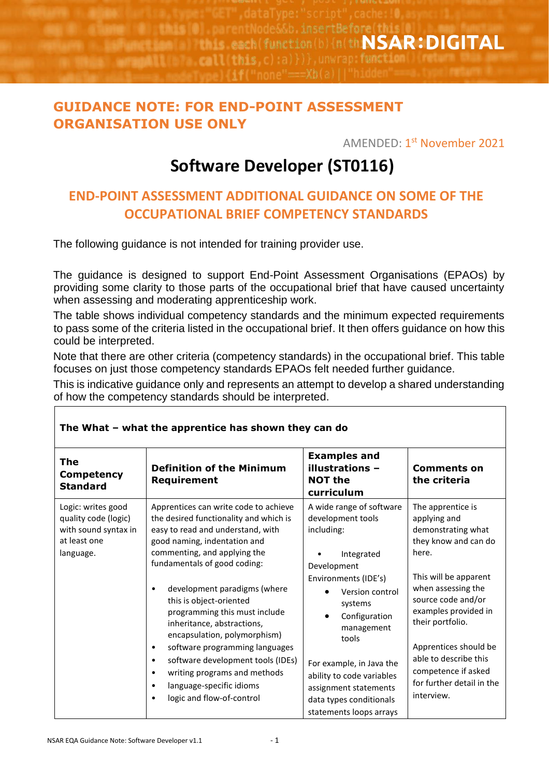insertBefore function(b) {n(th**NSAR:DIGITAL ELAN ITALE PROJE** 

## **GUIDANCE NOTE: FOR END-POINT ASSESSMENT ORGANISATION USE ONLY**

AMENDED: 1<sup>st</sup> <mark>November 2021</mark>

## **Software Developer (ST0116)**

## **END-POINT ASSESSMENT ADDITIONAL GUIDANCE ON SOME OF THE OCCUPATIONAL BRIEF COMPETENCY STANDARDS**

The following guidance is not intended for training provider use.

The guidance is designed to support End-Point Assessment Organisations (EPAOs) by providing some clarity to those parts of the occupational brief that have caused uncertainty when assessing and moderating apprenticeship work.

The table shows individual competency standards and the minimum expected requirements to pass some of the criteria listed in the occupational brief. It then offers guidance on how this could be interpreted.

Note that there are other criteria (competency standards) in the occupational brief. This table focuses on just those competency standards EPAOs felt needed further guidance.

This is indicative guidance only and represents an attempt to develop a shared understanding of how the competency standards should be interpreted.

| <b>The</b><br><b>Competency</b><br><b>Standard</b>                                              | <b>Definition of the Minimum</b><br>Requirement                                                                                                                                                                                                                                                                                                                                                                                                                                                                                                                                                                              | <b>Examples and</b><br>illustrations -<br><b>NOT the</b><br>curriculum                                                                                                                                                                                                                                                         | <b>Comments on</b><br>the criteria                                                                                                                                                                                                                                                                                            |
|-------------------------------------------------------------------------------------------------|------------------------------------------------------------------------------------------------------------------------------------------------------------------------------------------------------------------------------------------------------------------------------------------------------------------------------------------------------------------------------------------------------------------------------------------------------------------------------------------------------------------------------------------------------------------------------------------------------------------------------|--------------------------------------------------------------------------------------------------------------------------------------------------------------------------------------------------------------------------------------------------------------------------------------------------------------------------------|-------------------------------------------------------------------------------------------------------------------------------------------------------------------------------------------------------------------------------------------------------------------------------------------------------------------------------|
| Logic: writes good<br>quality code (logic)<br>with sound syntax in<br>at least one<br>language. | Apprentices can write code to achieve<br>the desired functionality and which is<br>easy to read and understand, with<br>good naming, indentation and<br>commenting, and applying the<br>fundamentals of good coding:<br>development paradigms (where<br>$\bullet$<br>this is object-oriented<br>programming this must include<br>inheritance, abstractions,<br>encapsulation, polymorphism)<br>software programming languages<br>$\bullet$<br>software development tools (IDEs)<br>$\bullet$<br>writing programs and methods<br>$\bullet$<br>language-specific idioms<br>$\bullet$<br>logic and flow-of-control<br>$\bullet$ | A wide range of software<br>development tools<br>including:<br>Integrated<br>Development<br>Environments (IDE's)<br>Version control<br>systems<br>Configuration<br>management<br>tools<br>For example, in Java the<br>ability to code variables<br>assignment statements<br>data types conditionals<br>statements loops arrays | The apprentice is<br>applying and<br>demonstrating what<br>they know and can do<br>here.<br>This will be apparent<br>when assessing the<br>source code and/or<br>examples provided in<br>their portfolio.<br>Apprentices should be<br>able to describe this<br>competence if asked<br>for further detail in the<br>interview. |

## **The What – what the apprentice has shown they can do**